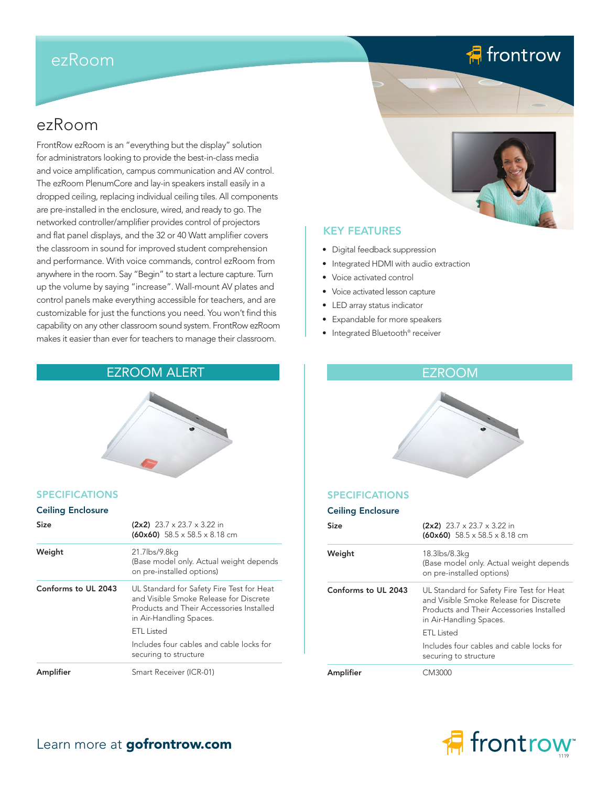# ezRoom

# **A** frontrow

# ezRoom

FrontRow ezRoom is an "everything but the display" solution for administrators looking to provide the best-in-class media and voice amplification, campus communication and AV control. The ezRoom PlenumCore and lay-in speakers install easily in a dropped ceiling, replacing individual ceiling tiles. All components are pre-installed in the enclosure, wired, and ready to go. The networked controller/amplifier provides control of projectors and flat panel displays, and the 32 or 40 Watt amplifier covers the classroom in sound for improved student comprehension and performance. With voice commands, control ezRoom from anywhere in the room. Say "Begin" to start a lecture capture. Turn up the volume by saying "increase". Wall-mount AV plates and control panels make everything accessible for teachers, and are customizable for just the functions you need. You won't find this capability on any other classroom sound system. FrontRow ezRoom makes it easier than ever for teachers to manage their classroom.

## EZROOM ALERT ET ELECTRICIAL EN EZROOM

## SPECIFICATIONS

## Ceiling Enclosure

| Size                | $(2x2)$ 23.7 x 23.7 x 3.22 in<br>$(60x60)$ 58.5 x 58.5 x 8.18 cm                                                                                           |  |
|---------------------|------------------------------------------------------------------------------------------------------------------------------------------------------------|--|
| Weight              | 21.7lbs/9.8kg<br>(Base model only. Actual weight depends<br>on pre-installed options)                                                                      |  |
| Conforms to UL 2043 | UL Standard for Safety Fire Test for Heat<br>and Visible Smoke Release for Discrete<br>Products and Their Accessories Installed<br>in Air-Handling Spaces. |  |
|                     | ETL Listed                                                                                                                                                 |  |
|                     | Includes four cables and cable locks for<br>securing to structure                                                                                          |  |
| Amplifier           | Smart Receiver (ICR-01)                                                                                                                                    |  |



## KEY FEATURES

- Digital feedback suppression
- Integrated HDMI with audio extraction
- Voice activated control
- Voice activated lesson capture
- LED array status indicator
- Expandable for more speakers
- Integrated Bluetooth® receiver

## SPECIFICATIONS

|  | <b>Ceiling Enclosure</b> |
|--|--------------------------|
|  |                          |

| Size                | $(2x2)$ 23.7 x 23.7 x 3.22 in<br>$(60x60)$ 58.5 x 58.5 x 8.18 cm                                                                                           |
|---------------------|------------------------------------------------------------------------------------------------------------------------------------------------------------|
| Weight              | 18.3lbs/8.3kg<br>(Base model only. Actual weight depends<br>on pre-installed options)                                                                      |
| Conforms to UL 2043 | UL Standard for Safety Fire Test for Heat<br>and Visible Smoke Release for Discrete<br>Products and Their Accessories Installed<br>in Air-Handling Spaces. |
|                     | ETL Listed                                                                                                                                                 |
|                     | Includes four cables and cable locks for<br>securing to structure                                                                                          |
| Amplifier           | CM3000                                                                                                                                                     |



## Learn more at gofrontrow.com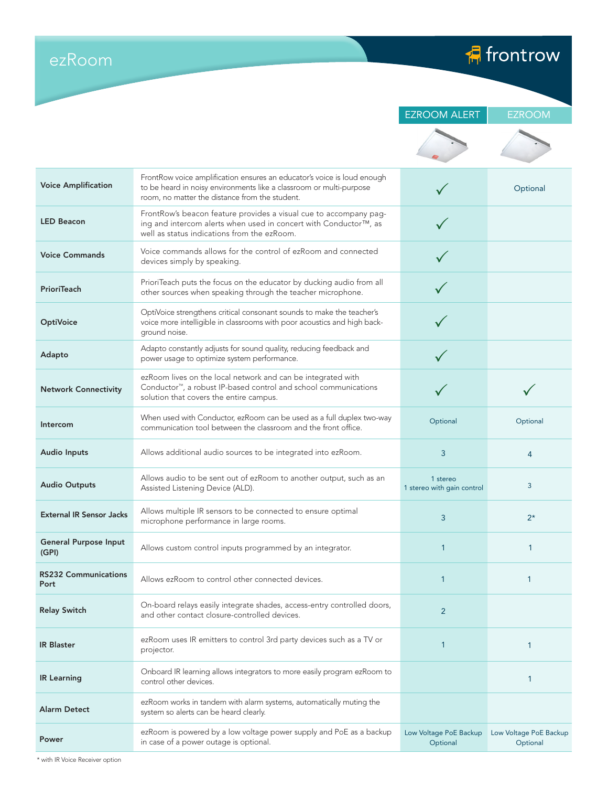ezRoom

 $\sqrt{2}$  frontrow

|  | <b>EZROOM ALER</b> |  |
|--|--------------------|--|

RT **EZROOM** 

| <b>Voice Amplification</b>            | FrontRow voice amplification ensures an educator's voice is loud enough<br>to be heard in noisy environments like a classroom or multi-purpose<br>room, no matter the distance from the student. |                                        | Optional                           |
|---------------------------------------|--------------------------------------------------------------------------------------------------------------------------------------------------------------------------------------------------|----------------------------------------|------------------------------------|
| <b>LED Beacon</b>                     | FrontRow's beacon feature provides a visual cue to accompany pag-<br>ing and intercom alerts when used in concert with Conductor™, as<br>well as status indications from the ezRoom.             |                                        |                                    |
| <b>Voice Commands</b>                 | Voice commands allows for the control of ezRoom and connected<br>devices simply by speaking.                                                                                                     |                                        |                                    |
| PrioriTeach                           | PrioriTeach puts the focus on the educator by ducking audio from all<br>other sources when speaking through the teacher microphone.                                                              |                                        |                                    |
| <b>OptiVoice</b>                      | OptiVoice strengthens critical consonant sounds to make the teacher's<br>voice more intelligible in classrooms with poor acoustics and high back-<br>ground noise.                               |                                        |                                    |
| Adapto                                | Adapto constantly adjusts for sound quality, reducing feedback and<br>power usage to optimize system performance.                                                                                |                                        |                                    |
| <b>Network Connectivity</b>           | ezRoom lives on the local network and can be integrated with<br>Conductor <sup>™</sup> , a robust IP-based control and school communications<br>solution that covers the entire campus.          |                                        |                                    |
| Intercom                              | When used with Conductor, ezRoom can be used as a full duplex two-way<br>communication tool between the classroom and the front office.                                                          | Optional                               | Optional                           |
| <b>Audio Inputs</b>                   | Allows additional audio sources to be integrated into ezRoom.                                                                                                                                    | 3                                      | 4                                  |
| <b>Audio Outputs</b>                  | Allows audio to be sent out of ezRoom to another output, such as an<br>Assisted Listening Device (ALD).                                                                                          | 1 stereo<br>1 stereo with gain control | 3                                  |
| <b>External IR Sensor Jacks</b>       | Allows multiple IR sensors to be connected to ensure optimal<br>microphone performance in large rooms.                                                                                           | 3                                      | $2^{\star}$                        |
| <b>General Purpose Input</b><br>(GPI) | Allows custom control inputs programmed by an integrator.                                                                                                                                        | 1                                      | 1                                  |
| <b>RS232 Communications</b><br>Port   | Allows ezRoom to control other connected devices.                                                                                                                                                | $\mathbf 1$                            | 1                                  |
| <b>Relay Switch</b>                   | On-board relays easily integrate shades, access-entry controlled doors,<br>and other contact closure-controlled devices.                                                                         | $\overline{2}$                         |                                    |
| <b>IR Blaster</b>                     | ezRoom uses IR emitters to control 3rd party devices such as a TV or<br>projector.                                                                                                               | 1                                      | $\mathbf{1}$                       |
| <b>IR Learning</b>                    | Onboard IR learning allows integrators to more easily program ezRoom to<br>control other devices.                                                                                                |                                        | 1                                  |
| Alarm Detect                          | ezRoom works in tandem with alarm systems, automatically muting the<br>system so alerts can be heard clearly.                                                                                    |                                        |                                    |
| Power                                 | ezRoom is powered by a low voltage power supply and PoE as a backup<br>in case of a power outage is optional.                                                                                    | Low Voltage PoE Backup<br>Optional     | Low Voltage PoE Backup<br>Optional |
|                                       |                                                                                                                                                                                                  |                                        |                                    |

\* with IR Voice Receiver option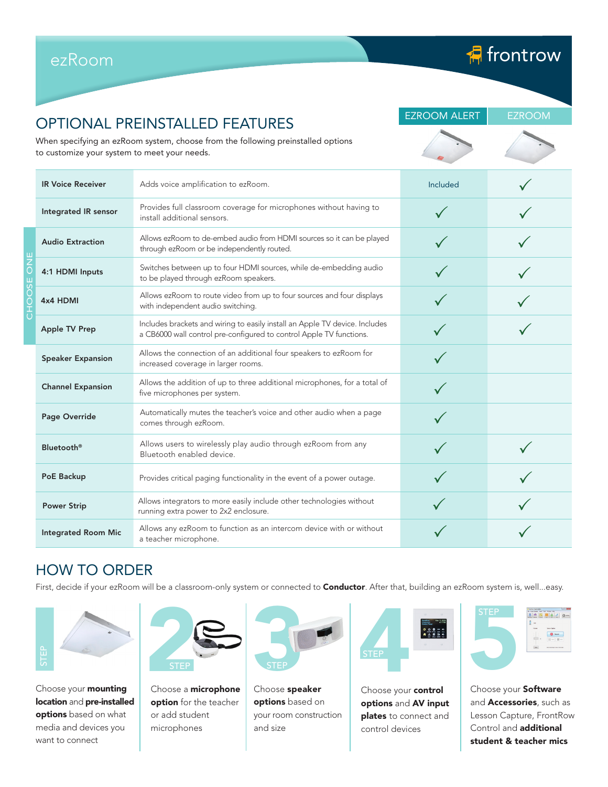|  |                                              | <b>OPTIONAL PREINSTALLED FEATURES</b>                                                                                                              | <b>EZROOM ALERT</b> | <b>EZROOM</b> |  |
|--|----------------------------------------------|----------------------------------------------------------------------------------------------------------------------------------------------------|---------------------|---------------|--|
|  | to customize your system to meet your needs. | When specifying an ezRoom system, choose from the following preinstalled options                                                                   |                     |               |  |
|  | <b>IR Voice Receiver</b>                     | Adds voice amplification to ezRoom.                                                                                                                | Included            |               |  |
|  | Integrated IR sensor                         | Provides full classroom coverage for microphones without having to<br>install additional sensors.                                                  |                     |               |  |
|  | <b>Audio Extraction</b>                      | Allows ezRoom to de-embed audio from HDMI sources so it can be played<br>through ezRoom or be independently routed.                                |                     |               |  |
|  | 4:1 HDMI Inputs                              | Switches between up to four HDMI sources, while de-embedding audio<br>to be played through ezRoom speakers.                                        |                     |               |  |
|  | 4x4 HDMI                                     | Allows ezRoom to route video from up to four sources and four displays<br>with independent audio switching.                                        |                     |               |  |
|  | <b>Apple TV Prep</b>                         | Includes brackets and wiring to easily install an Apple TV device. Includes<br>a CB6000 wall control pre-configured to control Apple TV functions. |                     |               |  |
|  | <b>Speaker Expansion</b>                     | Allows the connection of an additional four speakers to ezRoom for<br>increased coverage in larger rooms.                                          |                     |               |  |
|  | <b>Channel Expansion</b>                     | Allows the addition of up to three additional microphones, for a total of<br>five microphones per system.                                          |                     |               |  |
|  | Page Override                                | Automatically mutes the teacher's voice and other audio when a page<br>comes through ezRoom.                                                       |                     |               |  |
|  | <b>Bluetooth®</b>                            | Allows users to wirelessly play audio through ezRoom from any<br>Bluetooth enabled device.                                                         |                     |               |  |
|  | PoE Backup                                   | Provides critical paging functionality in the event of a power outage.                                                                             |                     |               |  |
|  | <b>Power Strip</b>                           | Allows integrators to more easily include other technologies without<br>running extra power to 2x2 enclosure.                                      |                     |               |  |
|  | <b>Integrated Room Mic</b>                   | Allows any ezRoom to function as an intercom device with or without<br>a teacher microphone.                                                       |                     |               |  |

# HOW TO ORDER

ezRoom

First, decide if your ezRoom will be a classroom-only system or connected to **Conductor**. After that, building an ezRoom system is, well...easy.



Choose your **mounting** location and pre-installed options based on what media and devices you want to connect



Choose a **microphone** option for the teacher or add student microphones



Choose speaker options based on your room construction and size



Choose your **control** options and AV input plates to connect and control devices



**A** frontrow

Choose your Software and **Accessories**, such as Lesson Capture, FrontRow Control and additional student & teacher mics